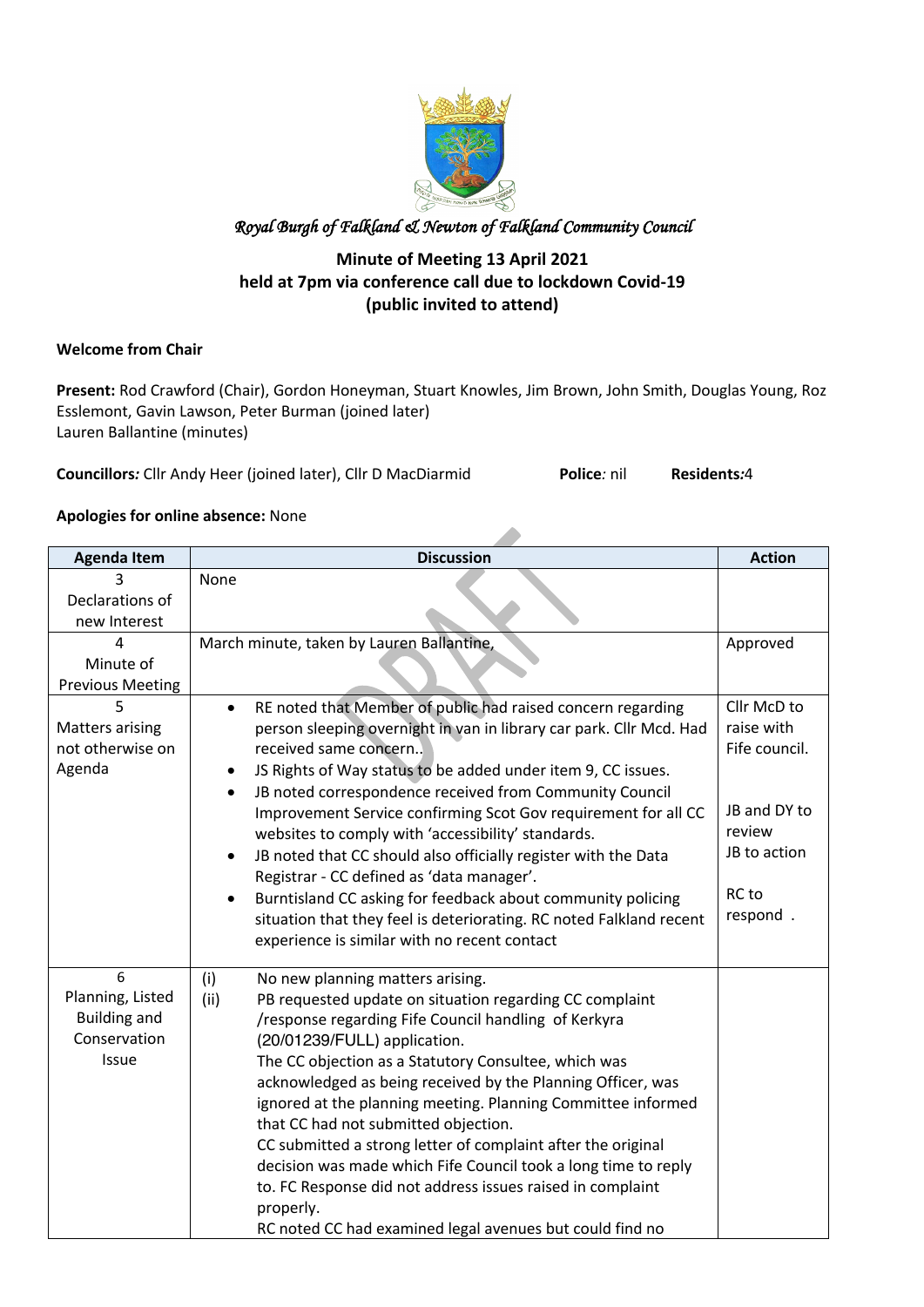

#### **Minute of Meeting 13 April 2021 held at 7pm via conference call due to lockdown Covid-19 (public invited to attend)**

#### **Welcome from Chair**

**Present:** Rod Crawford (Chair), Gordon Honeyman, Stuart Knowles, Jim Brown, John Smith, Douglas Young, Roz Esslemont, Gavin Lawson, Peter Burman (joined later) Lauren Ballantine (minutes)

A

**Councillors***:* Cllr Andy Heer (joined later), Cllr D MacDiarmid **Police***:* nil **Residents***:*4

#### **Apologies for online absence:** None

| <b>Agenda Item</b>                  | <b>Discussion</b>                                                           | <b>Action</b> |
|-------------------------------------|-----------------------------------------------------------------------------|---------------|
|                                     | None                                                                        |               |
| Declarations of                     |                                                                             |               |
| new Interest                        |                                                                             |               |
| 4                                   | March minute, taken by Lauren Ballantine,                                   | Approved      |
| Minute of                           |                                                                             |               |
| <b>Previous Meeting</b>             |                                                                             |               |
|                                     | RE noted that Member of public had raised concern regarding<br>$\bullet$    | Cllr McD to   |
| <b>Matters arising</b>              | person sleeping overnight in van in library car park. Cllr Mcd. Had         | raise with    |
| not otherwise on                    | received same concern                                                       | Fife council. |
| Agenda                              | JS Rights of Way status to be added under item 9, CC issues.<br>$\bullet$   |               |
|                                     | JB noted correspondence received from Community Council<br>$\bullet$        |               |
|                                     | Improvement Service confirming Scot Gov requirement for all CC              | JB and DY to  |
|                                     | websites to comply with 'accessibility' standards.                          | review        |
|                                     | JB noted that CC should also officially register with the Data<br>$\bullet$ | JB to action  |
|                                     | Registrar - CC defined as 'data manager'.                                   |               |
|                                     | Burntisland CC asking for feedback about community policing                 | RC to         |
|                                     | situation that they feel is deteriorating. RC noted Falkland recent         | respond.      |
|                                     | experience is similar with no recent contact                                |               |
|                                     |                                                                             |               |
| 6                                   | (i)<br>No new planning matters arising.                                     |               |
| Planning, Listed                    | PB requested update on situation regarding CC complaint<br>(ii)             |               |
| <b>Building and</b><br>Conservation | /response regarding Fife Council handling of Kerkyra                        |               |
|                                     | (20/01239/FULL) application.                                                |               |
| Issue                               | The CC objection as a Statutory Consultee, which was                        |               |
|                                     | acknowledged as being received by the Planning Officer, was                 |               |
|                                     | ignored at the planning meeting. Planning Committee informed                |               |
|                                     | that CC had not submitted objection.                                        |               |
|                                     | CC submitted a strong letter of complaint after the original                |               |
|                                     | decision was made which Fife Council took a long time to reply              |               |
|                                     | to. FC Response did not address issues raised in complaint                  |               |
|                                     | properly.                                                                   |               |
|                                     | RC noted CC had examined legal avenues but could find no                    |               |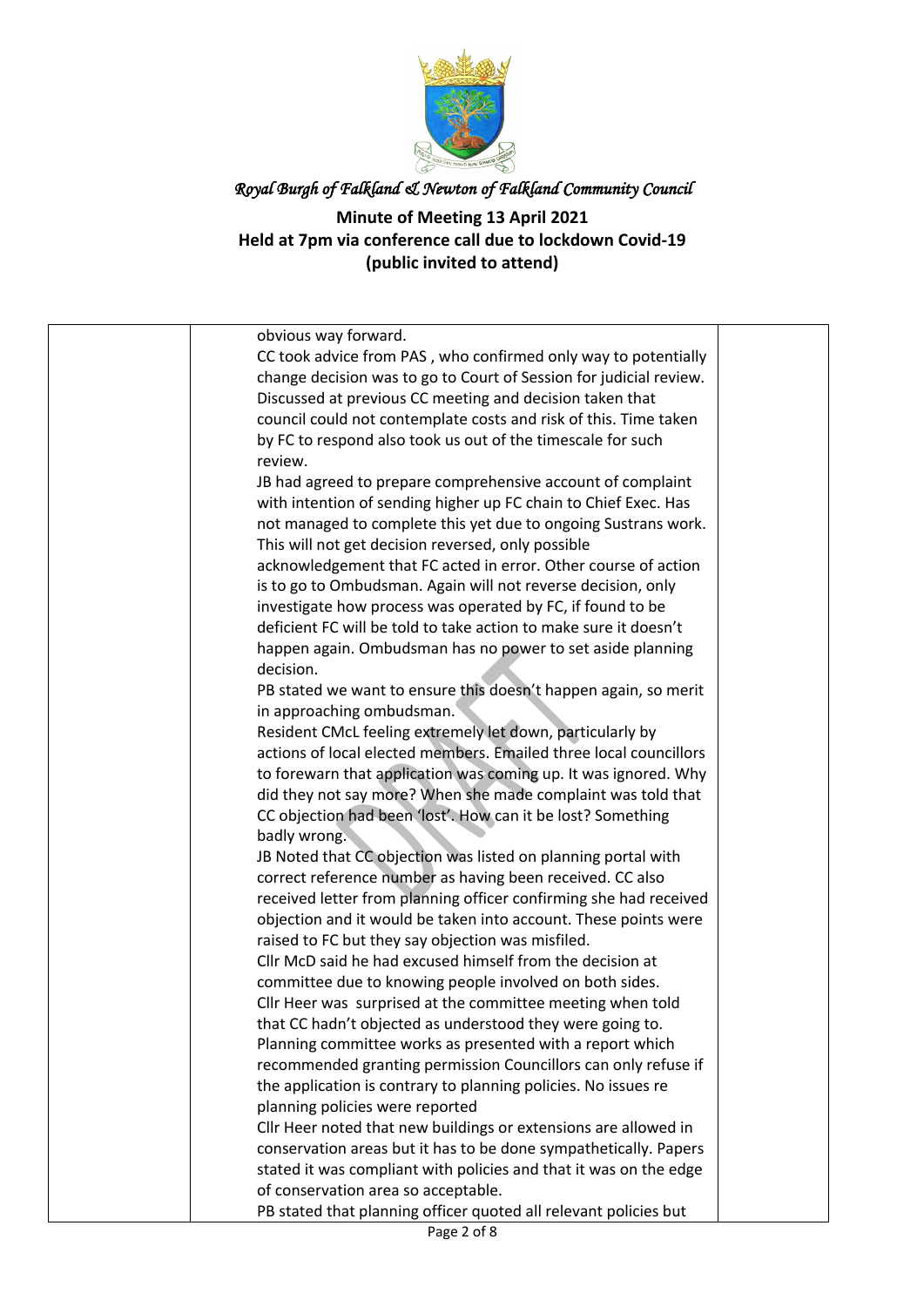

| obvious way forward.                                                                                                        |  |
|-----------------------------------------------------------------------------------------------------------------------------|--|
| CC took advice from PAS, who confirmed only way to potentially                                                              |  |
| change decision was to go to Court of Session for judicial review.                                                          |  |
| Discussed at previous CC meeting and decision taken that                                                                    |  |
| council could not contemplate costs and risk of this. Time taken                                                            |  |
| by FC to respond also took us out of the timescale for such                                                                 |  |
| review.                                                                                                                     |  |
| JB had agreed to prepare comprehensive account of complaint                                                                 |  |
| with intention of sending higher up FC chain to Chief Exec. Has                                                             |  |
| not managed to complete this yet due to ongoing Sustrans work.                                                              |  |
| This will not get decision reversed, only possible                                                                          |  |
| acknowledgement that FC acted in error. Other course of action                                                              |  |
| is to go to Ombudsman. Again will not reverse decision, only                                                                |  |
| investigate how process was operated by FC, if found to be                                                                  |  |
| deficient FC will be told to take action to make sure it doesn't                                                            |  |
| happen again. Ombudsman has no power to set aside planning                                                                  |  |
| decision.                                                                                                                   |  |
| PB stated we want to ensure this doesn't happen again, so merit                                                             |  |
| in approaching ombudsman.                                                                                                   |  |
| Resident CMcL feeling extremely let down, particularly by                                                                   |  |
| actions of local elected members. Emailed three local councillors                                                           |  |
| to forewarn that application was coming up. It was ignored. Why                                                             |  |
| did they not say more? When she made complaint was told that                                                                |  |
| CC objection had been 'lost'. How can it be lost? Something                                                                 |  |
| badly wrong.                                                                                                                |  |
| JB Noted that CC objection was listed on planning portal with                                                               |  |
| correct reference number as having been received. CC also                                                                   |  |
| received letter from planning officer confirming she had received                                                           |  |
| objection and it would be taken into account. These points were                                                             |  |
| raised to FC but they say objection was misfiled.                                                                           |  |
| Cllr McD said he had excused himself from the decision at                                                                   |  |
| committee due to knowing people involved on both sides.                                                                     |  |
| Cllr Heer was surprised at the committee meeting when told                                                                  |  |
| that CC hadn't objected as understood they were going to.                                                                   |  |
| Planning committee works as presented with a report which<br>recommended granting permission Councillors can only refuse if |  |
| the application is contrary to planning policies. No issues re                                                              |  |
| planning policies were reported                                                                                             |  |
| Cllr Heer noted that new buildings or extensions are allowed in                                                             |  |
| conservation areas but it has to be done sympathetically. Papers                                                            |  |
| stated it was compliant with policies and that it was on the edge                                                           |  |
| of conservation area so acceptable.                                                                                         |  |
| PB stated that planning officer quoted all relevant policies but                                                            |  |
| D <sub>200</sub> 2 of 9                                                                                                     |  |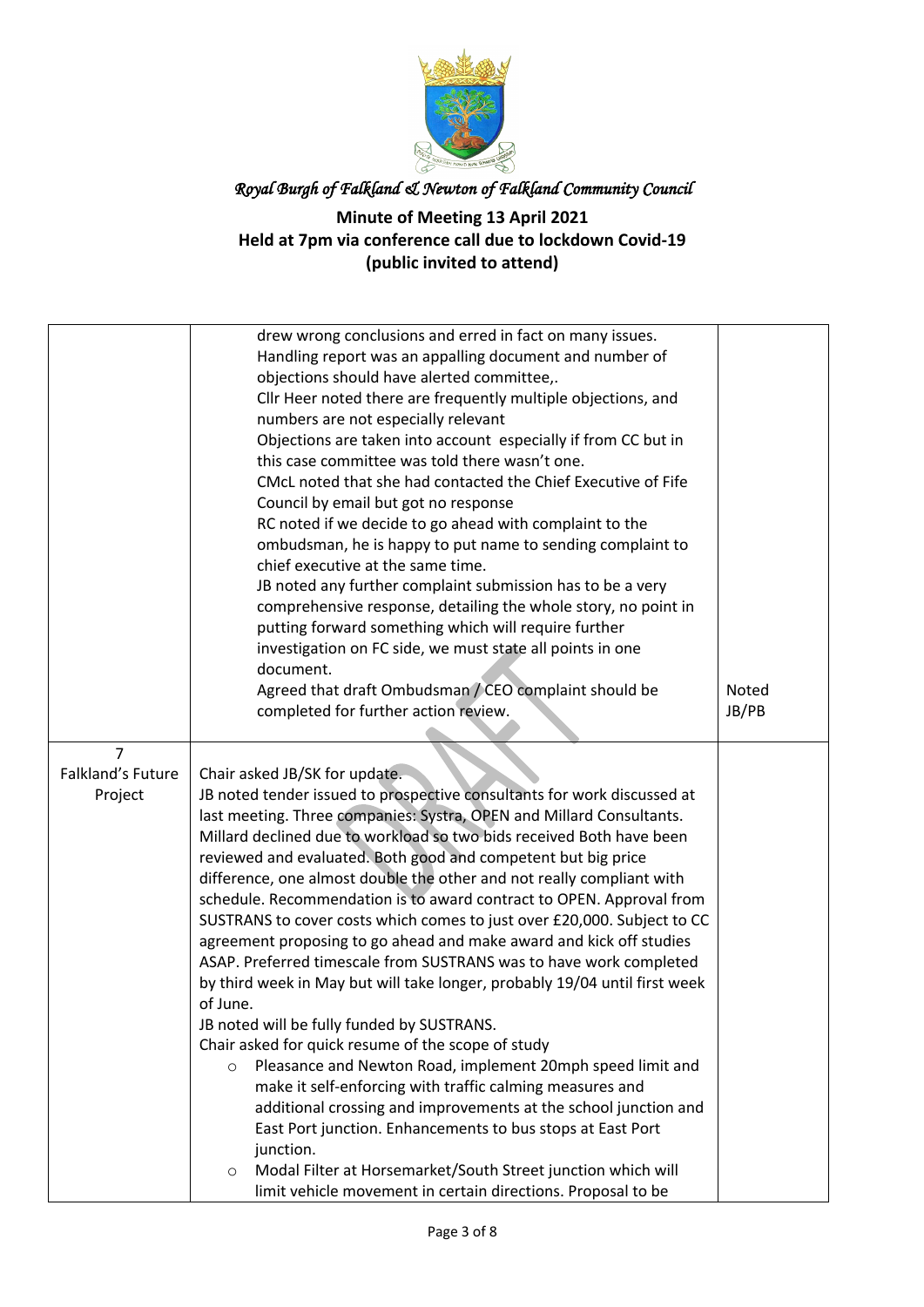

|                   | drew wrong conclusions and erred in fact on many issues.                   |       |
|-------------------|----------------------------------------------------------------------------|-------|
|                   | Handling report was an appalling document and number of                    |       |
|                   | objections should have alerted committee,.                                 |       |
|                   | Cllr Heer noted there are frequently multiple objections, and              |       |
|                   | numbers are not especially relevant                                        |       |
|                   | Objections are taken into account especially if from CC but in             |       |
|                   | this case committee was told there wasn't one.                             |       |
|                   | CMcL noted that she had contacted the Chief Executive of Fife              |       |
|                   | Council by email but got no response                                       |       |
|                   | RC noted if we decide to go ahead with complaint to the                    |       |
|                   | ombudsman, he is happy to put name to sending complaint to                 |       |
|                   | chief executive at the same time.                                          |       |
|                   | JB noted any further complaint submission has to be a very                 |       |
|                   |                                                                            |       |
|                   | comprehensive response, detailing the whole story, no point in             |       |
|                   | putting forward something which will require further                       |       |
|                   | investigation on FC side, we must state all points in one                  |       |
|                   | document.                                                                  |       |
|                   | Agreed that draft Ombudsman / CEO complaint should be                      | Noted |
|                   | completed for further action review.                                       | JB/PB |
|                   |                                                                            |       |
| $\overline{7}$    |                                                                            |       |
| Falkland's Future | Chair asked JB/SK for update.                                              |       |
| Project           | JB noted tender issued to prospective consultants for work discussed at    |       |
|                   | last meeting. Three companies: Systra, OPEN and Millard Consultants.       |       |
|                   | Millard declined due to workload so two bids received Both have been       |       |
|                   | reviewed and evaluated. Both good and competent but big price              |       |
|                   | difference, one almost double the other and not really compliant with      |       |
|                   | schedule. Recommendation is to award contract to OPEN. Approval from       |       |
|                   | SUSTRANS to cover costs which comes to just over £20,000. Subject to CC    |       |
|                   | agreement proposing to go ahead and make award and kick off studies        |       |
|                   | ASAP. Preferred timescale from SUSTRANS was to have work completed         |       |
|                   | by third week in May but will take longer, probably 19/04 until first week |       |
|                   | of June.                                                                   |       |
|                   | JB noted will be fully funded by SUSTRANS.                                 |       |
|                   | Chair asked for quick resume of the scope of study                         |       |
|                   | Pleasance and Newton Road, implement 20mph speed limit and<br>$\circ$      |       |
|                   | make it self-enforcing with traffic calming measures and                   |       |
|                   | additional crossing and improvements at the school junction and            |       |
|                   | East Port junction. Enhancements to bus stops at East Port                 |       |
|                   | junction.                                                                  |       |
|                   | Modal Filter at Horsemarket/South Street junction which will<br>$\circ$    |       |
|                   | limit vehicle movement in certain directions. Proposal to be               |       |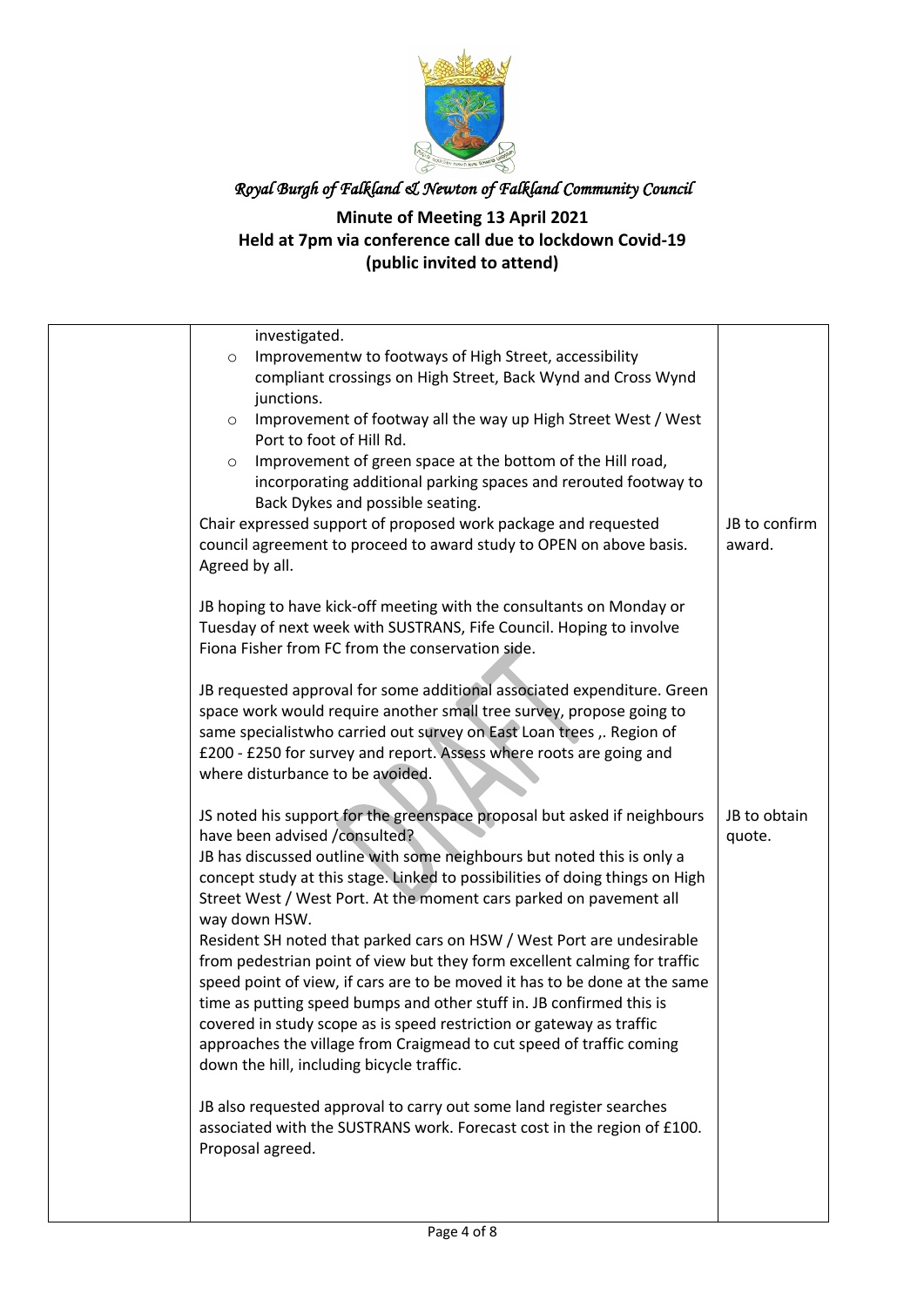

| investigated.                                                                |               |
|------------------------------------------------------------------------------|---------------|
| Improvementw to footways of High Street, accessibility<br>$\circ$            |               |
| compliant crossings on High Street, Back Wynd and Cross Wynd                 |               |
| junctions.                                                                   |               |
| Improvement of footway all the way up High Street West / West<br>$\circ$     |               |
| Port to foot of Hill Rd.                                                     |               |
| Improvement of green space at the bottom of the Hill road,<br>$\circ$        |               |
| incorporating additional parking spaces and rerouted footway to              |               |
| Back Dykes and possible seating.                                             |               |
| Chair expressed support of proposed work package and requested               | JB to confirm |
| council agreement to proceed to award study to OPEN on above basis.          | award.        |
| Agreed by all.                                                               |               |
|                                                                              |               |
| JB hoping to have kick-off meeting with the consultants on Monday or         |               |
| Tuesday of next week with SUSTRANS, Fife Council. Hoping to involve          |               |
| Fiona Fisher from FC from the conservation side.                             |               |
|                                                                              |               |
| JB requested approval for some additional associated expenditure. Green      |               |
| space work would require another small tree survey, propose going to         |               |
| same specialistwho carried out survey on East Loan trees ,. Region of        |               |
| £200 - £250 for survey and report. Assess where roots are going and          |               |
| where disturbance to be avoided.                                             |               |
| JS noted his support for the greenspace proposal but asked if neighbours     | JB to obtain  |
| have been advised /consulted?                                                | quote.        |
| JB has discussed outline with some neighbours but noted this is only a       |               |
| concept study at this stage. Linked to possibilities of doing things on High |               |
| Street West / West Port. At the moment cars parked on pavement all           |               |
| way down HSW.                                                                |               |
| Resident SH noted that parked cars on HSW / West Port are undesirable        |               |
| from pedestrian point of view but they form excellent calming for traffic    |               |
| speed point of view, if cars are to be moved it has to be done at the same   |               |
| time as putting speed bumps and other stuff in. JB confirmed this is         |               |
| covered in study scope as is speed restriction or gateway as traffic         |               |
| approaches the village from Craigmead to cut speed of traffic coming         |               |
| down the hill, including bicycle traffic.                                    |               |
|                                                                              |               |
| JB also requested approval to carry out some land register searches          |               |
| associated with the SUSTRANS work. Forecast cost in the region of £100.      |               |
| Proposal agreed.                                                             |               |
|                                                                              |               |
|                                                                              |               |
|                                                                              |               |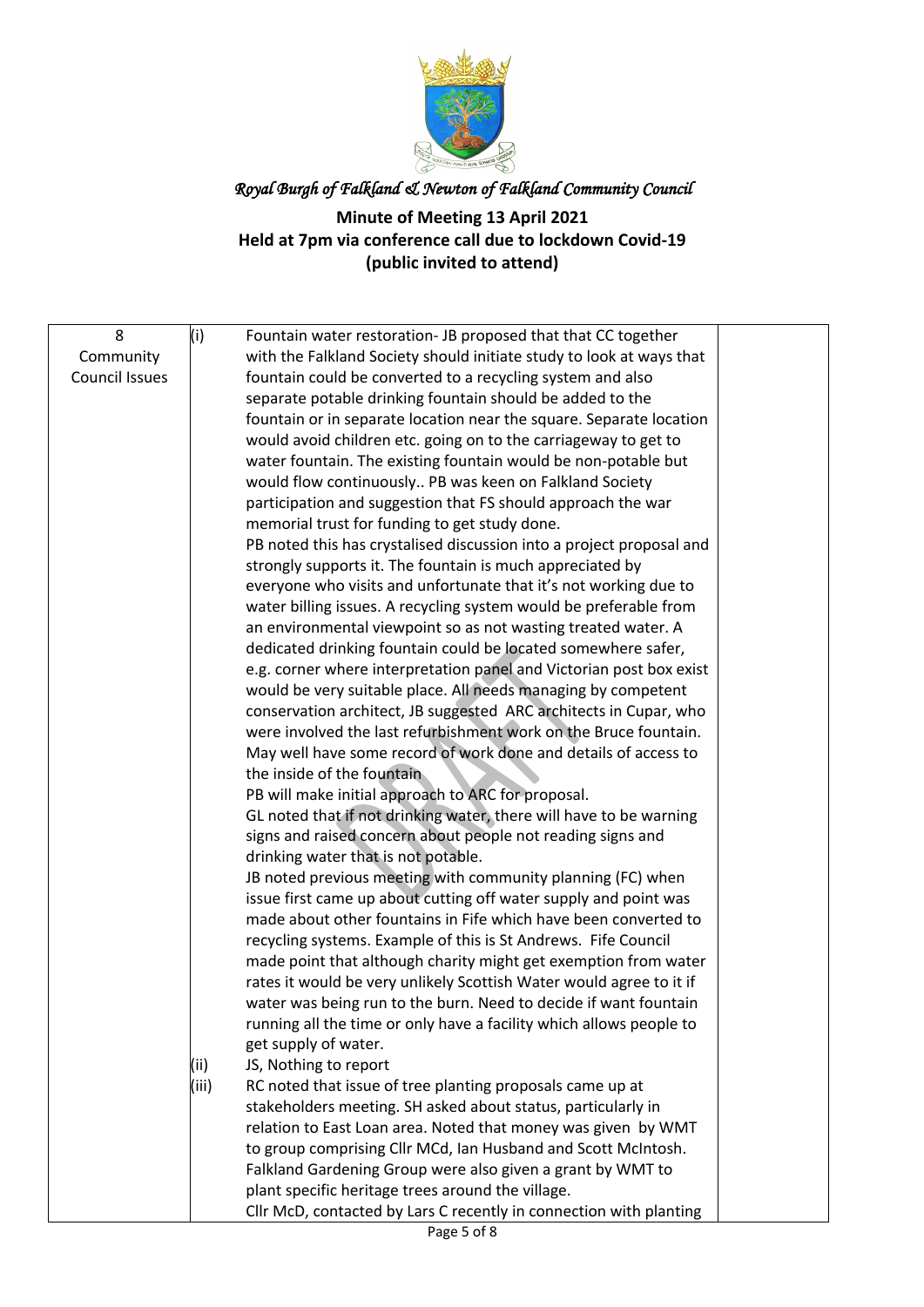

| 8                     | (i)   | Fountain water restoration- JB proposed that that CC together                                                                           |  |
|-----------------------|-------|-----------------------------------------------------------------------------------------------------------------------------------------|--|
| Community             |       | with the Falkland Society should initiate study to look at ways that                                                                    |  |
| <b>Council Issues</b> |       | fountain could be converted to a recycling system and also                                                                              |  |
|                       |       | separate potable drinking fountain should be added to the                                                                               |  |
|                       |       | fountain or in separate location near the square. Separate location                                                                     |  |
|                       |       | would avoid children etc. going on to the carriageway to get to                                                                         |  |
|                       |       | water fountain. The existing fountain would be non-potable but                                                                          |  |
|                       |       | would flow continuously PB was keen on Falkland Society                                                                                 |  |
|                       |       | participation and suggestion that FS should approach the war                                                                            |  |
|                       |       | memorial trust for funding to get study done.                                                                                           |  |
|                       |       | PB noted this has crystalised discussion into a project proposal and                                                                    |  |
|                       |       | strongly supports it. The fountain is much appreciated by                                                                               |  |
|                       |       | everyone who visits and unfortunate that it's not working due to                                                                        |  |
|                       |       | water billing issues. A recycling system would be preferable from                                                                       |  |
|                       |       | an environmental viewpoint so as not wasting treated water. A                                                                           |  |
|                       |       | dedicated drinking fountain could be located somewhere safer,                                                                           |  |
|                       |       | e.g. corner where interpretation panel and Victorian post box exist                                                                     |  |
|                       |       | would be very suitable place. All needs managing by competent                                                                           |  |
|                       |       | conservation architect, JB suggested ARC architects in Cupar, who                                                                       |  |
|                       |       | were involved the last refurbishment work on the Bruce fountain.                                                                        |  |
|                       |       | May well have some record of work done and details of access to                                                                         |  |
|                       |       | the inside of the fountain                                                                                                              |  |
|                       |       | PB will make initial approach to ARC for proposal.                                                                                      |  |
|                       |       | GL noted that if not drinking water, there will have to be warning                                                                      |  |
|                       |       | signs and raised concern about people not reading signs and                                                                             |  |
|                       |       | drinking water that is not potable.                                                                                                     |  |
|                       |       | JB noted previous meeting with community planning (FC) when                                                                             |  |
|                       |       | issue first came up about cutting off water supply and point was                                                                        |  |
|                       |       | made about other fountains in Fife which have been converted to                                                                         |  |
|                       |       | recycling systems. Example of this is St Andrews. Fife Council                                                                          |  |
|                       |       | made point that although charity might get exemption from water                                                                         |  |
|                       |       | rates it would be very unlikely Scottish Water would agree to it if                                                                     |  |
|                       |       | water was being run to the burn. Need to decide if want fountain<br>running all the time or only have a facility which allows people to |  |
|                       |       | get supply of water.                                                                                                                    |  |
|                       | (ii)  | JS, Nothing to report                                                                                                                   |  |
|                       | (iii) | RC noted that issue of tree planting proposals came up at                                                                               |  |
|                       |       | stakeholders meeting. SH asked about status, particularly in                                                                            |  |
|                       |       | relation to East Loan area. Noted that money was given by WMT                                                                           |  |
|                       |       | to group comprising Cllr MCd, Ian Husband and Scott McIntosh.                                                                           |  |
|                       |       | Falkland Gardening Group were also given a grant by WMT to                                                                              |  |
|                       |       | plant specific heritage trees around the village.                                                                                       |  |
|                       |       | Cllr McD, contacted by Lars C recently in connection with planting                                                                      |  |
|                       |       |                                                                                                                                         |  |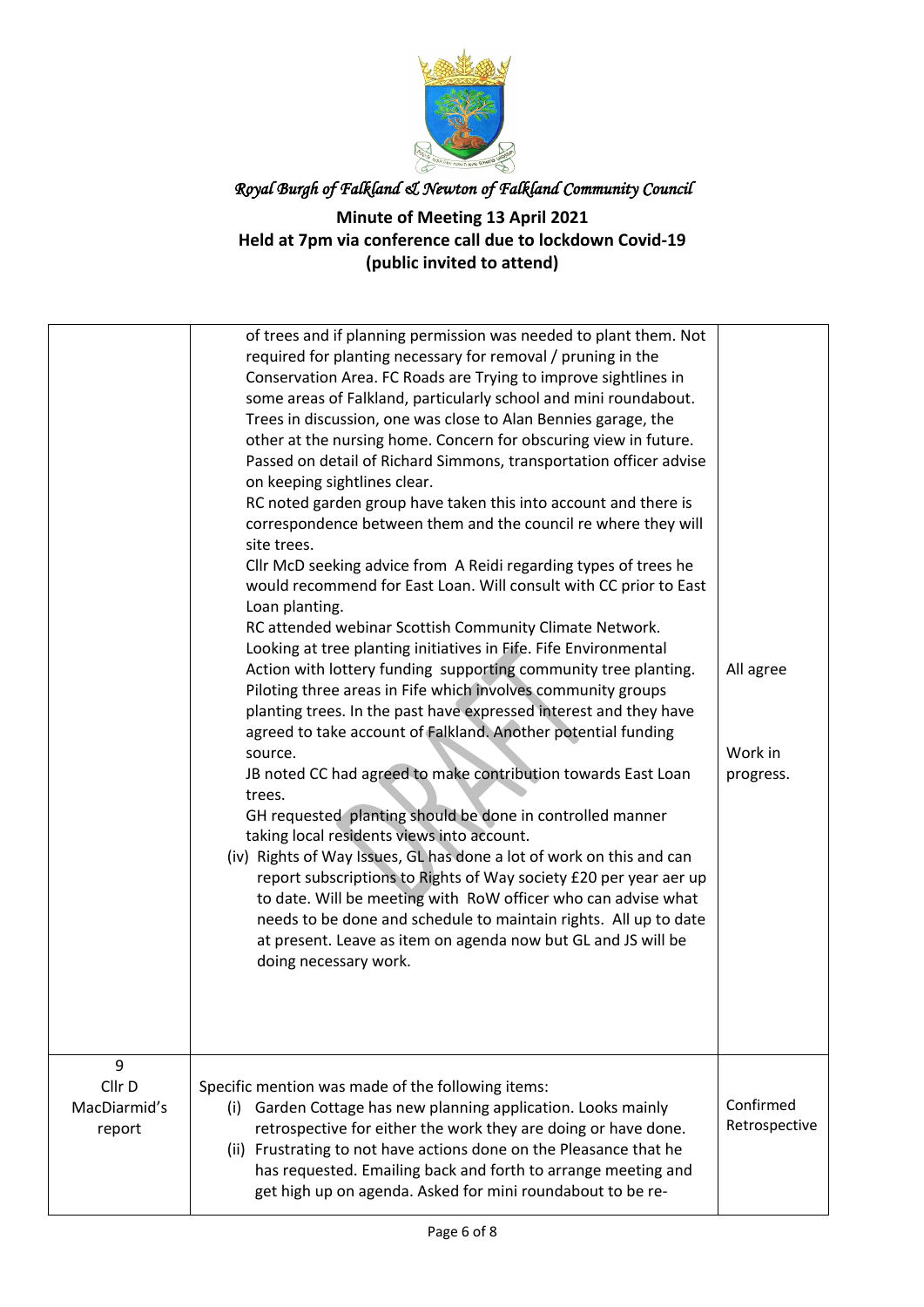

|                                       | of trees and if planning permission was needed to plant them. Not<br>required for planting necessary for removal / pruning in the<br>Conservation Area. FC Roads are Trying to improve sightlines in<br>some areas of Falkland, particularly school and mini roundabout.<br>Trees in discussion, one was close to Alan Bennies garage, the<br>other at the nursing home. Concern for obscuring view in future.<br>Passed on detail of Richard Simmons, transportation officer advise<br>on keeping sightlines clear.<br>RC noted garden group have taken this into account and there is<br>correspondence between them and the council re where they will<br>site trees.<br>Cllr McD seeking advice from A Reidi regarding types of trees he<br>would recommend for East Loan. Will consult with CC prior to East<br>Loan planting.<br>RC attended webinar Scottish Community Climate Network.<br>Looking at tree planting initiatives in Fife. Fife Environmental<br>Action with lottery funding supporting community tree planting.<br>Piloting three areas in Fife which involves community groups | All agree                  |
|---------------------------------------|-------------------------------------------------------------------------------------------------------------------------------------------------------------------------------------------------------------------------------------------------------------------------------------------------------------------------------------------------------------------------------------------------------------------------------------------------------------------------------------------------------------------------------------------------------------------------------------------------------------------------------------------------------------------------------------------------------------------------------------------------------------------------------------------------------------------------------------------------------------------------------------------------------------------------------------------------------------------------------------------------------------------------------------------------------------------------------------------------------|----------------------------|
|                                       | taking local residents views into account.<br>(iv) Rights of Way Issues, GL has done a lot of work on this and can<br>report subscriptions to Rights of Way society £20 per year aer up<br>to date. Will be meeting with RoW officer who can advise what<br>needs to be done and schedule to maintain rights. All up to date<br>at present. Leave as item on agenda now but GL and JS will be<br>doing necessary work.                                                                                                                                                                                                                                                                                                                                                                                                                                                                                                                                                                                                                                                                                |                            |
| 9<br>Cllr D<br>MacDiarmid's<br>report | Specific mention was made of the following items:<br>(i) Garden Cottage has new planning application. Looks mainly<br>retrospective for either the work they are doing or have done.<br>(ii) Frustrating to not have actions done on the Pleasance that he<br>has requested. Emailing back and forth to arrange meeting and<br>get high up on agenda. Asked for mini roundabout to be re-                                                                                                                                                                                                                                                                                                                                                                                                                                                                                                                                                                                                                                                                                                             | Confirmed<br>Retrospective |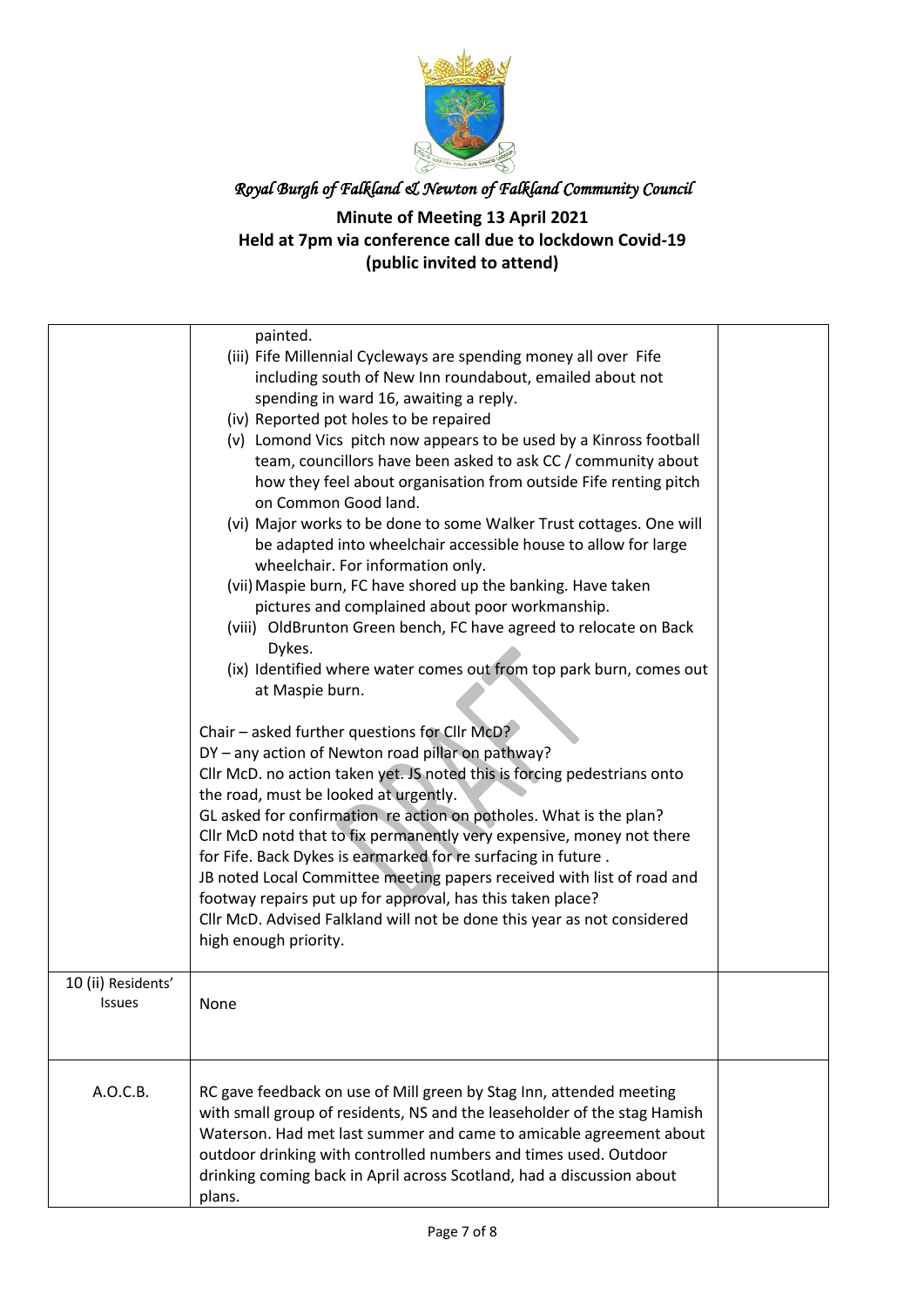

| 10 (ii) Residents'<br><b>Issues</b> | painted.<br>(iii) Fife Millennial Cycleways are spending money all over Fife<br>including south of New Inn roundabout, emailed about not<br>spending in ward 16, awaiting a reply.<br>(iv) Reported pot holes to be repaired<br>(v) Lomond Vics pitch now appears to be used by a Kinross football<br>team, councillors have been asked to ask CC / community about<br>how they feel about organisation from outside Fife renting pitch<br>on Common Good land.<br>(vi) Major works to be done to some Walker Trust cottages. One will<br>be adapted into wheelchair accessible house to allow for large<br>wheelchair. For information only.<br>(vii) Maspie burn, FC have shored up the banking. Have taken<br>pictures and complained about poor workmanship.<br>(viii) OldBrunton Green bench, FC have agreed to relocate on Back<br>Dykes.<br>(ix) Identified where water comes out from top park burn, comes out<br>at Maspie burn.<br>Chair - asked further questions for Cllr McD?<br>DY - any action of Newton road pillar on pathway?<br>Cllr McD. no action taken yet. JS noted this is forcing pedestrians onto<br>the road, must be looked at urgently.<br>GL asked for confirmation re action on potholes. What is the plan?<br>Cllr McD notd that to fix permanently very expensive, money not there<br>for Fife. Back Dykes is earmarked for re surfacing in future.<br>JB noted Local Committee meeting papers received with list of road and<br>footway repairs put up for approval, has this taken place?<br>Cllr McD. Advised Falkland will not be done this year as not considered<br>high enough priority.<br>None |  |
|-------------------------------------|------------------------------------------------------------------------------------------------------------------------------------------------------------------------------------------------------------------------------------------------------------------------------------------------------------------------------------------------------------------------------------------------------------------------------------------------------------------------------------------------------------------------------------------------------------------------------------------------------------------------------------------------------------------------------------------------------------------------------------------------------------------------------------------------------------------------------------------------------------------------------------------------------------------------------------------------------------------------------------------------------------------------------------------------------------------------------------------------------------------------------------------------------------------------------------------------------------------------------------------------------------------------------------------------------------------------------------------------------------------------------------------------------------------------------------------------------------------------------------------------------------------------------------------------------------------------------------------------------------------------------------------|--|
|                                     |                                                                                                                                                                                                                                                                                                                                                                                                                                                                                                                                                                                                                                                                                                                                                                                                                                                                                                                                                                                                                                                                                                                                                                                                                                                                                                                                                                                                                                                                                                                                                                                                                                          |  |
| A.O.C.B.                            | RC gave feedback on use of Mill green by Stag Inn, attended meeting<br>with small group of residents, NS and the leaseholder of the stag Hamish<br>Waterson. Had met last summer and came to amicable agreement about<br>outdoor drinking with controlled numbers and times used. Outdoor<br>drinking coming back in April across Scotland, had a discussion about<br>plans.                                                                                                                                                                                                                                                                                                                                                                                                                                                                                                                                                                                                                                                                                                                                                                                                                                                                                                                                                                                                                                                                                                                                                                                                                                                             |  |